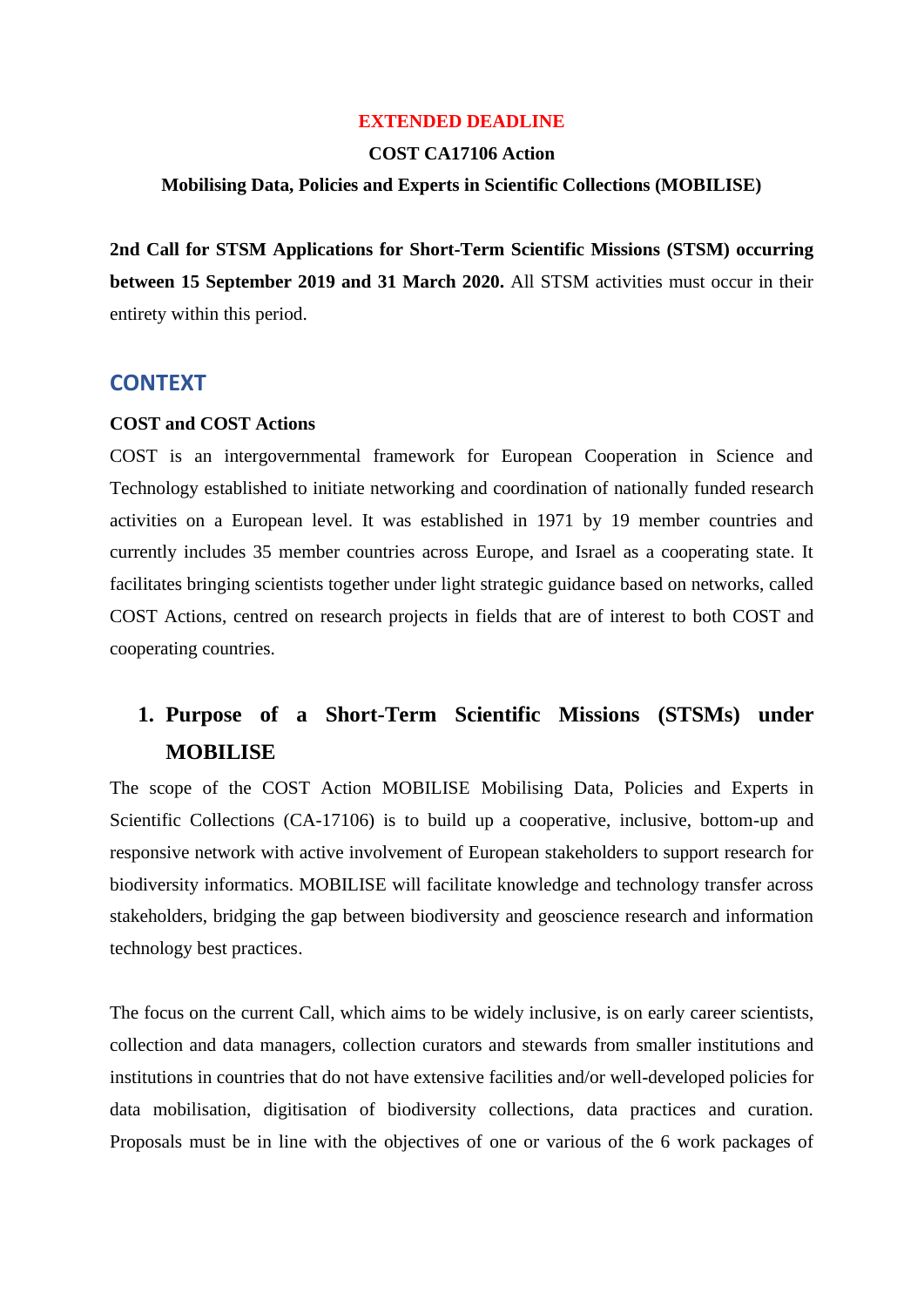#### **EXTENDED DEADLINE**

#### **COST CA17106 Action**

## **Mobilising Data, Policies and Experts in Scientific Collections (MOBILISE)**

**2nd Call for STSM Applications for Short-Term Scientific Missions (STSM) occurring between 15 September 2019 and 31 March 2020.** All STSM activities must occur in their entirety within this period.

## **CONTEXT**

#### **COST and COST Actions**

COST is an intergovernmental framework for European Cooperation in Science and Technology established to initiate networking and coordination of nationally funded research activities on a European level. It was established in 1971 by 19 member countries and currently includes 35 member countries across Europe, and Israel as a cooperating state. It facilitates bringing scientists together under light strategic guidance based on networks, called COST Actions, centred on research projects in fields that are of interest to both COST and cooperating countries.

# **1. Purpose of a Short-Term Scientific Missions (STSMs) under MOBILISE**

The scope of the COST Action MOBILISE Mobilising Data, Policies and Experts in Scientific Collections (CA-17106) is to build up a cooperative, inclusive, bottom-up and responsive network with active involvement of European stakeholders to support research for biodiversity informatics. MOBILISE will facilitate knowledge and technology transfer across stakeholders, bridging the gap between biodiversity and geoscience research and information technology best practices.

The focus on the current Call, which aims to be widely inclusive, is on early career scientists, collection and data managers, collection curators and stewards from smaller institutions and institutions in countries that do not have extensive facilities and/or well-developed policies for data mobilisation, digitisation of biodiversity collections, data practices and curation. Proposals must be in line with the objectives of one or various of the 6 work packages of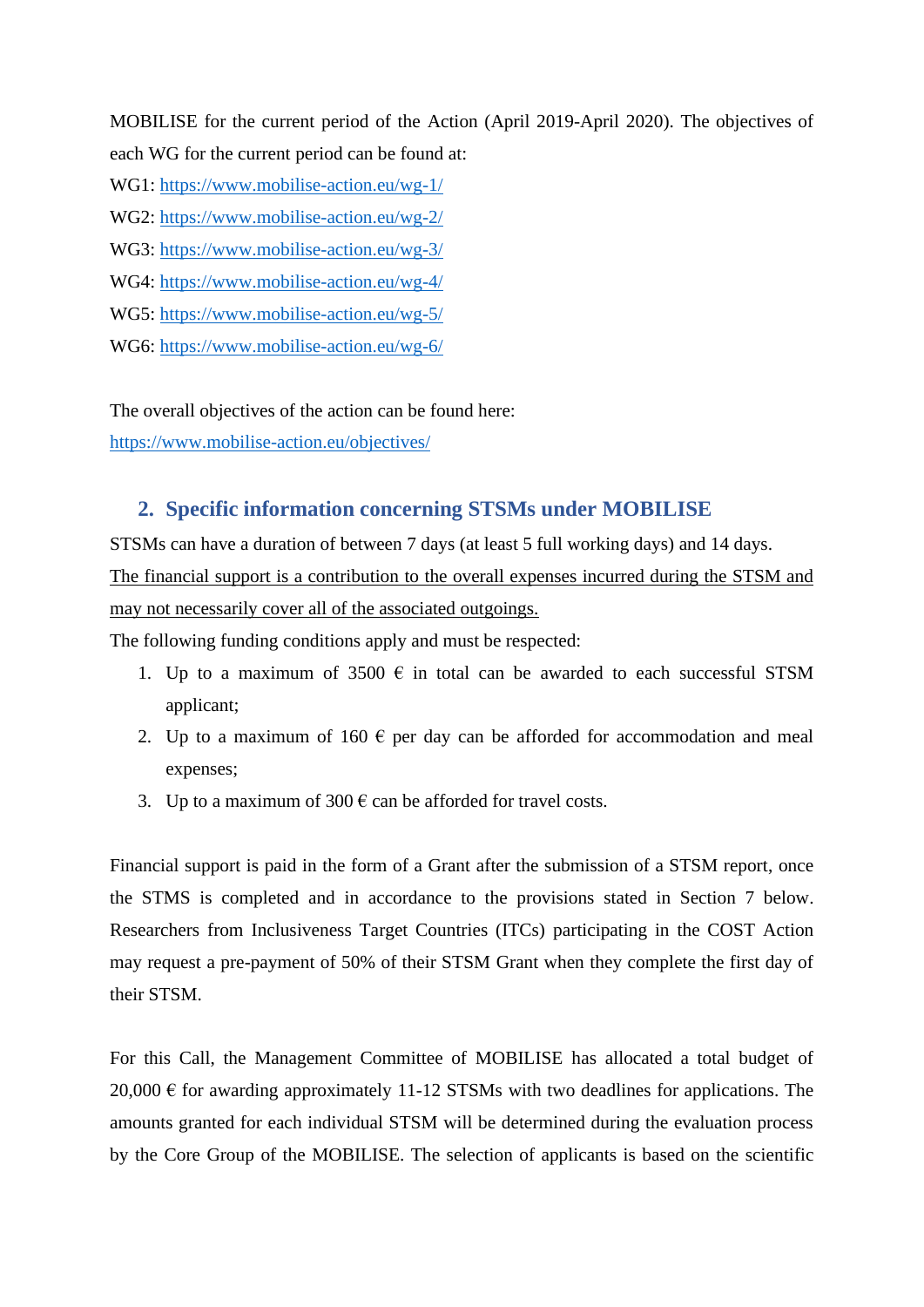MOBILISE for the current period of the Action (April 2019-April 2020). The objectives of each WG for the current period can be found at:

WG1:<https://www.mobilise-action.eu/wg-1/>

- WG2:<https://www.mobilise-action.eu/wg-2/>
- WG3:<https://www.mobilise-action.eu/wg-3/>
- WG4:<https://www.mobilise-action.eu/wg-4/>
- WG5:<https://www.mobilise-action.eu/wg-5/>
- WG6:<https://www.mobilise-action.eu/wg-6/>

The overall objectives of the action can be found here:

<https://www.mobilise-action.eu/objectives/>

# **2. Specific information concerning STSMs under MOBILISE**

STSMs can have a duration of between 7 days (at least 5 full working days) and 14 days. The financial support is a contribution to the overall expenses incurred during the STSM and may not necessarily cover all of the associated outgoings.

The following funding conditions apply and must be respected:

- 1. Up to a maximum of 3500  $\epsilon$  in total can be awarded to each successful STSM applicant;
- 2. Up to a maximum of 160  $\epsilon$  per day can be afforded for accommodation and meal expenses;
- 3. Up to a maximum of 300  $\epsilon$  can be afforded for travel costs.

Financial support is paid in the form of a Grant after the submission of a STSM report, once the STMS is completed and in accordance to the provisions stated in Section 7 below. Researchers from Inclusiveness Target Countries (ITCs) participating in the COST Action may request a pre-payment of 50% of their STSM Grant when they complete the first day of their STSM.

For this Call, the Management Committee of MOBILISE has allocated a total budget of 20,000  $\epsilon$  for awarding approximately 11-12 STSMs with two deadlines for applications. The amounts granted for each individual STSM will be determined during the evaluation process by the Core Group of the MOBILISE. The selection of applicants is based on the scientific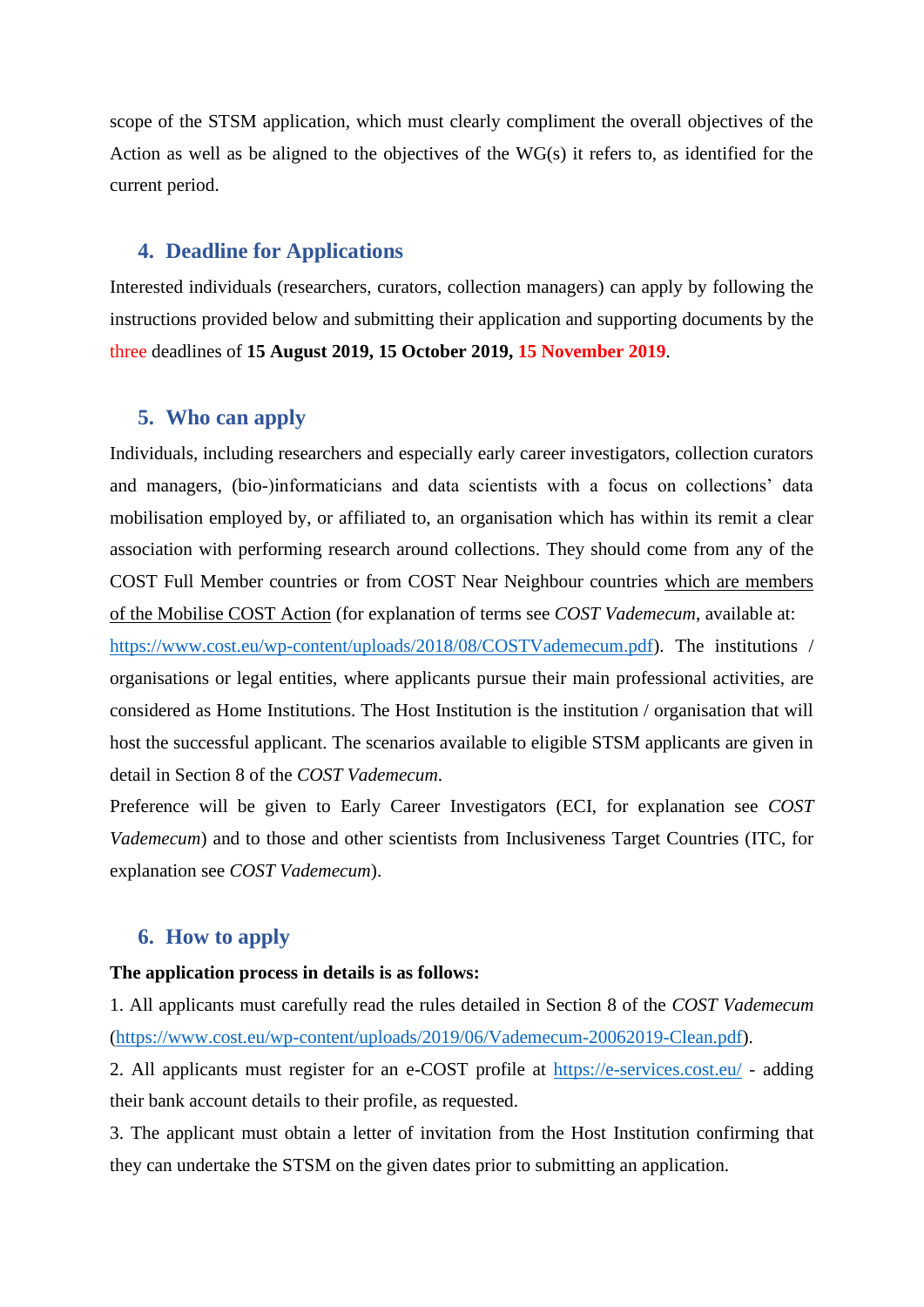scope of the STSM application, which must clearly compliment the overall objectives of the Action as well as be aligned to the objectives of the WG(s) it refers to, as identified for the current period.

## **4. Deadline for Applications**

Interested individuals (researchers, curators, collection managers) can apply by following the instructions provided below and submitting their application and supporting documents by the three deadlines of **15 August 2019, 15 October 2019, 15 November 2019**.

## **5. Who can apply**

Individuals, including researchers and especially early career investigators, collection curators and managers, (bio-)informaticians and data scientists with a focus on collections' data mobilisation employed by, or affiliated to, an organisation which has within its remit a clear association with performing research around collections. They should come from any of the COST Full Member countries or from COST Near Neighbour countries which are members of the Mobilise COST Action (for explanation of terms see *COST Vademecum*, available at:

[https://www.cost.eu/wp-content/uploads/2018/08/COSTVademecum.pdf\)](https://www.cost.eu/wp-content/uploads/2018/08/COSTVademecum.pdf). The institutions / organisations or legal entities, where applicants pursue their main professional activities, are considered as Home Institutions. The Host Institution is the institution / organisation that will host the successful applicant. The scenarios available to eligible STSM applicants are given in detail in Section 8 of the *COST Vademecum*.

Preference will be given to Early Career Investigators (ECI, for explanation see *COST Vademecum*) and to those and other scientists from Inclusiveness Target Countries (ITC, for explanation see *COST Vademecum*).

## **6. How to apply**

#### **The application process in details is as follows:**

1. All applicants must carefully read the rules detailed in Section 8 of the *COST Vademecum* [\(https://www.cost.eu/wp-content/uploads/2019/06/Vademecum-20062019-Clean.pdf\)](https://www.cost.eu/wp-content/uploads/2019/06/Vademecum-20062019-Clean.pdf).

2. All applicants must register for an e-COST profile at <https://e-services.cost.eu/> - adding their bank account details to their profile, as requested.

3. The applicant must obtain a letter of invitation from the Host Institution confirming that they can undertake the STSM on the given dates prior to submitting an application.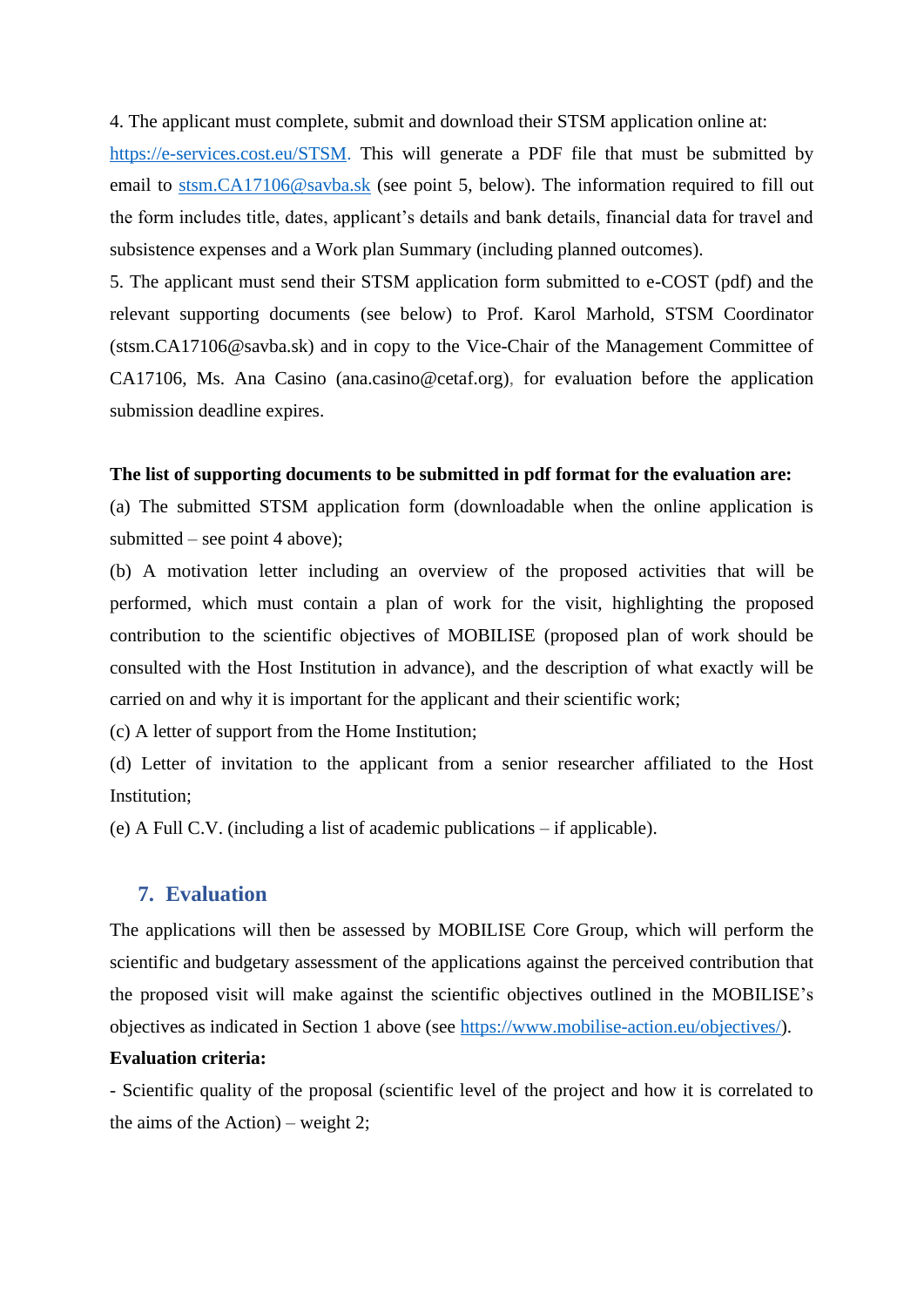4. The applicant must complete, submit and download their STSM application online at:

[https://e-services.cost.eu/STSM.](https://e-services.cost.eu/STSM) This will generate a PDF file that must be submitted by email to [stsm.CA17106@savba.sk](mailto:stsm.CA17106@savba.sk) (see point 5, below). The information required to fill out the form includes title, dates, applicant's details and bank details, financial data for travel and subsistence expenses and a Work plan Summary (including planned outcomes).

5. The applicant must send their STSM application form submitted to e-COST (pdf) and the relevant supporting documents (see below) to Prof. Karol Marhold, STSM Coordinator (stsm.CA17106@savba.sk) and in copy to the Vice-Chair of the Management Committee of CA17106, Ms. Ana Casino (ana.casino@cetaf.org), for evaluation before the application submission deadline expires.

#### **The list of supporting documents to be submitted in pdf format for the evaluation are:**

(a) The submitted STSM application form (downloadable when the online application is submitted – see point 4 above);

(b) A motivation letter including an overview of the proposed activities that will be performed, which must contain a plan of work for the visit, highlighting the proposed contribution to the scientific objectives of MOBILISE (proposed plan of work should be consulted with the Host Institution in advance), and the description of what exactly will be carried on and why it is important for the applicant and their scientific work;

(c) A letter of support from the Home Institution;

(d) Letter of invitation to the applicant from a senior researcher affiliated to the Host Institution;

(e) A Full C.V. (including a list of academic publications – if applicable).

## **7. Evaluation**

The applications will then be assessed by MOBILISE Core Group, which will perform the scientific and budgetary assessment of the applications against the perceived contribution that the proposed visit will make against the scientific objectives outlined in the MOBILISE's objectives as indicated in Section 1 above (see [https://www.mobilise-action.eu/objectives/\)](https://www.mobilise-action.eu/objectives/).

#### **Evaluation criteria:**

- Scientific quality of the proposal (scientific level of the project and how it is correlated to the aims of the Action) – weight 2;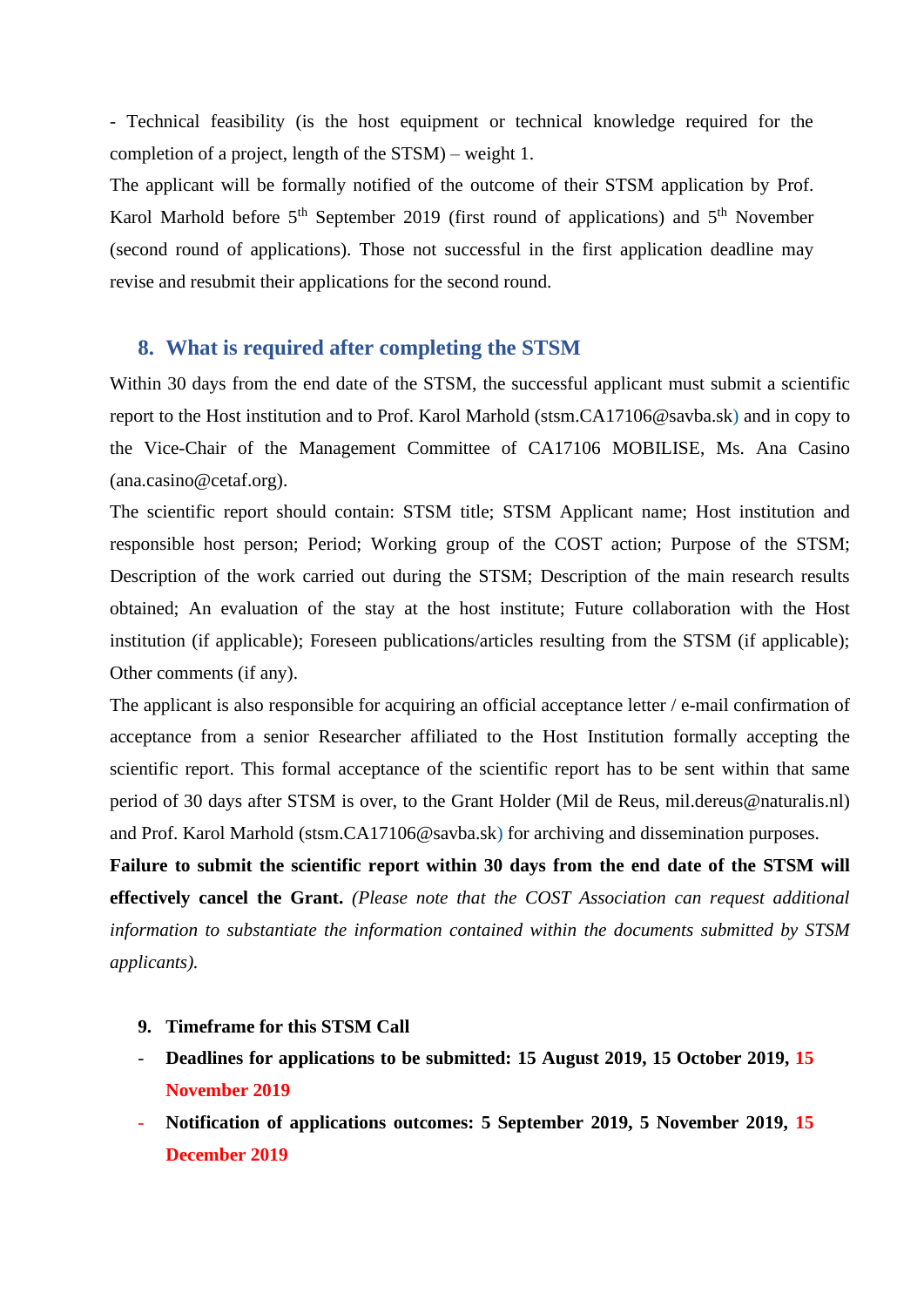- Technical feasibility (is the host equipment or technical knowledge required for the completion of a project, length of the STSM) – weight 1.

The applicant will be formally notified of the outcome of their STSM application by Prof. Karol Marhold before  $5<sup>th</sup>$  September 2019 (first round of applications) and  $5<sup>th</sup>$  November (second round of applications). Those not successful in the first application deadline may revise and resubmit their applications for the second round.

## **8. What is required after completing the STSM**

Within 30 days from the end date of the STSM, the successful applicant must submit a scientific report to the Host institution and to Prof. Karol Marhold (stsm.CA17106@savba.sk) and in copy to the Vice-Chair of the Management Committee of CA17106 MOBILISE, Ms. Ana Casino (ana.casino@cetaf.org).

The scientific report should contain: STSM title; STSM Applicant name; Host institution and responsible host person; Period; Working group of the COST action; Purpose of the STSM; Description of the work carried out during the STSM; Description of the main research results obtained; An evaluation of the stay at the host institute; Future collaboration with the Host institution (if applicable); Foreseen publications/articles resulting from the STSM (if applicable); Other comments (if any).

The applicant is also responsible for acquiring an official acceptance letter / e-mail confirmation of acceptance from a senior Researcher affiliated to the Host Institution formally accepting the scientific report. This formal acceptance of the scientific report has to be sent within that same period of 30 days after STSM is over, to the Grant Holder (Mil de Reus, mil.dereus@naturalis.nl) and Prof. Karol Marhold (stsm.CA17106@savba.sk) for archiving and dissemination purposes.

**Failure to submit the scientific report within 30 days from the end date of the STSM will effectively cancel the Grant.** *(Please note that the COST Association can request additional information to substantiate the information contained within the documents submitted by STSM applicants).*

#### **9. Timeframe for this STSM Call**

- **Deadlines for applications to be submitted: 15 August 2019, 15 October 2019, 15 November 2019**
- **Notification of applications outcomes: 5 September 2019, 5 November 2019, 15 December 2019**